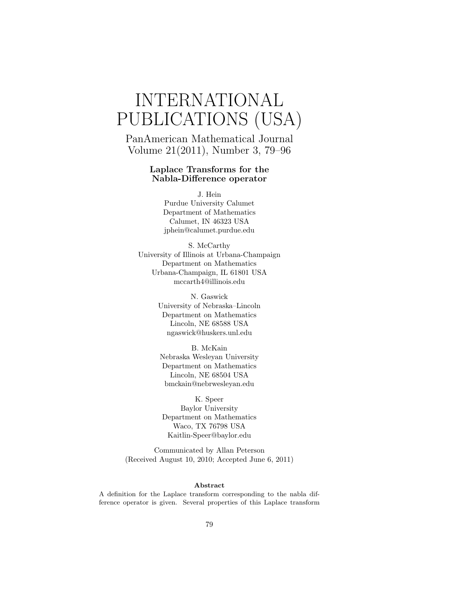# INTERNATIONAL PUBLICATIONS (USA)

PanAmerican Mathematical Journal Volume 21(2011), Number 3, 79–96

#### Laplace Transforms for the Nabla-Difference operator

J. Hein Purdue University Calumet Department of Mathematics Calumet, IN 46323 USA jphein@calumet.purdue.edu

S. McCarthy University of Illinois at Urbana-Champaign Department on Mathematics Urbana-Champaign, IL 61801 USA mccarth4@illinois.edu

> N. Gaswick University of Nebraska–Lincoln Department on Mathematics Lincoln, NE 68588 USA ngaswick@huskers.unl.edu

B. McKain Nebraska Wesleyan University Department on Mathematics Lincoln, NE 68504 USA bmckain@nebrwesleyan.edu

K. Speer Baylor University Department on Mathematics Waco, TX 76798 USA Kaitlin-Speer@baylor.edu

Communicated by Allan Peterson (Received August 10, 2010; Accepted June 6, 2011)

#### Abstract

A definition for the Laplace transform corresponding to the nabla difference operator is given. Several properties of this Laplace transform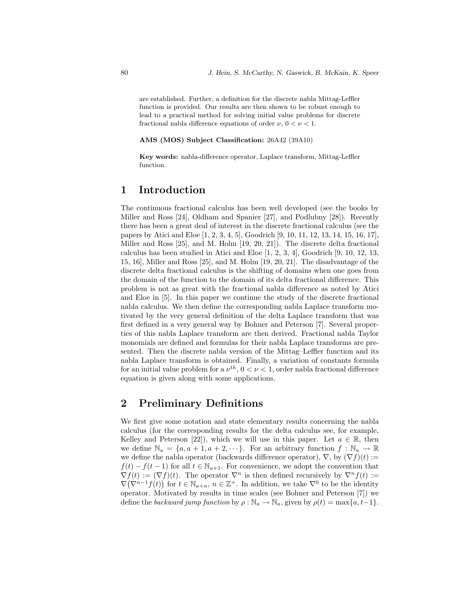are established. Further, a definition for the discrete nabla Mittag-Leffler function is provided. Our results are then shown to be robust enough to lead to a practical method for solving initial value problems for discrete fractional nable difference equations of order  $\nu$ ,  $0 < \nu < 1$ .

#### AMS (MOS) Subject Classification: 26A42 (39A10)

Key words: nabla-difference operator, Laplace transform, Mittag-Leffler function.

#### 1 Introduction

The continuous fractional calculus has been well developed (see the books by Miller and Ross [24], Oldham and Spanier [27], and Podlubny [28]). Recently there has been a great deal of interest in the discrete fractional calculus (see the papers by Atici and Eloe [1, 2, 3, 4, 5], Goodrich [9, 10, 11, 12, 13, 14, 15, 16, 17], Miller and Ross [25], and M. Holm [19, 20, 21]). The discrete delta fractional calculus has been studied in Atici and Eloe [1, 2, 3, 4], Goodrich [9, 10, 12, 13, 15, 16], Miller and Ross [25], and M. Holm [19, 20, 21]. The disadvantage of the discrete delta fractional calculus is the shifting of domains when one goes from the domain of the function to the domain of its delta fractional difference. This problem is not as great with the fractional nabla difference as noted by Atici and Eloe in [5]. In this paper we continue the study of the discrete fractional nabla calculus. We then define the corresponding nabla Laplace transform motivated by the very general definition of the delta Laplace transform that was first defined in a very general way by Bohner and Peterson [7]. Several properties of this nabla Laplace transform are then derived. Fractional nabla Taylor monomials are defined and formulas for their nabla Laplace transforms are presented. Then the discrete nabla version of the Mittag–Leffler function and its nabla Laplace transform is obtained. Finally, a variation of constants formula for an initial value problem for a  $\nu^{th}$ ,  $0 < \nu < 1$ , order nabla fractional difference equation is given along with some applications.

#### 2 Preliminary Definitions

We first give some notation and state elementary results concerning the nabla calculus (for the corresponding results for the delta calculus see, for example, Kelley and Peterson [22]), which we will use in this paper. Let  $a \in \mathbb{R}$ , then we define  $\mathbb{N}_a = \{a, a+1, a+2, \cdots\}$ . For an arbitrary function  $f : \mathbb{N}_a \to \mathbb{R}$ we define the nabla operator (backwards difference operator),  $\nabla$ , by  $(\nabla f)(t) :=$  $f(t) - f(t-1)$  for all  $t \in \mathbb{N}_{a+1}$ . For convenience, we adopt the convention that  $\nabla f(t) := (\nabla f)(t)$ . The operator  $\nabla^n$  is then defined recursively by  $\nabla^n f(t) :=$  $\nabla(\nabla^{n-1}f(t))$  for  $t \in \mathbb{N}_{a+n}$ ,  $n \in \mathbb{Z}^+$ . In addition, we take  $\nabla^0$  to be the identity operator. Motivated by results in time scales (see Bohner and Peterson [7]) we define the backward jump function by  $\rho : \mathbb{N}_a \to \mathbb{N}_a$ , given by  $\rho(t) = \max\{a, t-1\}.$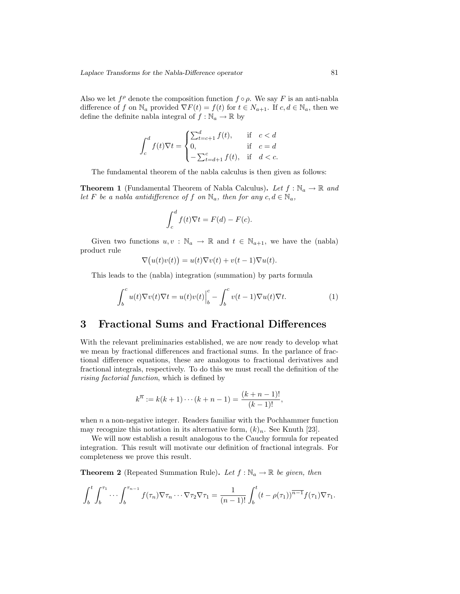Also we let  $f^{\rho}$  denote the composition function  $f \circ \rho$ . We say F is an anti-nabla difference of f on  $\mathbb{N}_a$  provided  $\nabla F(t) = f(t)$  for  $t \in \mathbb{N}_{a+1}$ . If  $c, d \in \mathbb{N}_a$ , then we define the definite nable integral of  $f : \mathbb{N}_a \to \mathbb{R}$  by

$$
\int_{c}^{d} f(t)\nabla t = \begin{cases} \sum_{t=c+1}^{d} f(t), & \text{if } c < d \\ 0, & \text{if } c = d \\ -\sum_{t=d+1}^{c} f(t), & \text{if } d < c. \end{cases}
$$

The fundamental theorem of the nabla calculus is then given as follows:

**Theorem 1** (Fundamental Theorem of Nabla Calculus). Let  $f : \mathbb{N}_a \to \mathbb{R}$  and let F be a nabla antidifference of f on  $\mathbb{N}_a$ , then for any  $c, d \in \mathbb{N}_a$ ,

$$
\int_{c}^{d} f(t)\nabla t = F(d) - F(c).
$$

Given two functions  $u, v : \mathbb{N}_a \to \mathbb{R}$  and  $t \in \mathbb{N}_{a+1}$ , we have the (nabla) product rule

$$
\nabla \big(u(t)v(t)\big) = u(t)\nabla v(t) + v(t-1)\nabla u(t).
$$

This leads to the (nabla) integration (summation) by parts formula

$$
\int_{b}^{c} u(t)\nabla v(t)\nabla t = u(t)v(t)\Big|_{b}^{c} - \int_{b}^{c} v(t-1)\nabla u(t)\nabla t.
$$
 (1)

## 3 Fractional Sums and Fractional Differences

With the relevant preliminaries established, we are now ready to develop what we mean by fractional differences and fractional sums. In the parlance of fractional difference equations, these are analogous to fractional derivatives and fractional integrals, respectively. To do this we must recall the definition of the rising factorial function, which is defined by

$$
k^{\overline{n}} := k(k+1)\cdots(k+n-1) = \frac{(k+n-1)!}{(k-1)!},
$$

when  $n$  a non-negative integer. Readers familiar with the Pochhammer function may recognize this notation in its alternative form,  $(k)_n$ . See Knuth [23].

We will now establish a result analogous to the Cauchy formula for repeated integration. This result will motivate our definition of fractional integrals. For completeness we prove this result.

**Theorem 2** (Repeated Summation Rule). Let  $f : \mathbb{N}_a \to \mathbb{R}$  be given, then

$$
\int_b^t \int_b^{\tau_1} \cdots \int_b^{\tau_{n-1}} f(\tau_n) \nabla \tau_n \cdots \nabla \tau_2 \nabla \tau_1 = \frac{1}{(n-1)!} \int_b^t (t - \rho(\tau_1))^{\overline{n-1}} f(\tau_1) \nabla \tau_1.
$$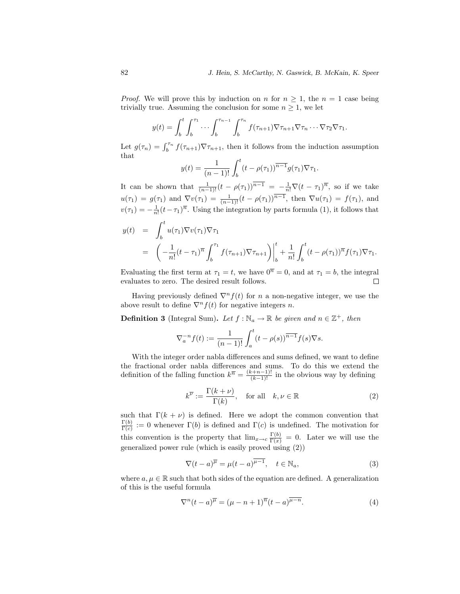*Proof.* We will prove this by induction on n for  $n \geq 1$ , the  $n = 1$  case being trivially true. Assuming the conclusion for some  $n \geq 1$ , we let

$$
y(t) = \int_b^t \int_b^{\tau_1} \cdots \int_b^{\tau_{n-1}} \int_b^{\tau_n} f(\tau_{n+1}) \nabla \tau_{n+1} \nabla \tau_n \cdots \nabla \tau_2 \nabla \tau_1.
$$

Let  $g(\tau_n) = \int_b^{\tau_n} f(\tau_{n+1}) \nabla \tau_{n+1}$ , then it follows from the induction assumption that

$$
y(t) = \frac{1}{(n-1)!} \int_b^t (t - \rho(\tau_1))^{\overline{n-1}} g(\tau_1) \nabla \tau_1.
$$

It can be shown that  $\frac{1}{(n-1)!}(t-\rho(\tau_1))^{\overline{n-1}} = -\frac{1}{n!}\nabla(t-\tau_1)^{\overline{n}}$ , so if we take  $u(\tau_1) = g(\tau_1)$  and  $\nabla v(\tau_1) = \frac{1}{(n-1)!}(t - \rho(\tau_1))^{\overline{n-1}}$ , then  $\nabla u(\tau_1) = f(\tau_1)$ , and  $v(\tau_1) = -\frac{1}{n!} (t - \tau_1)^{\overline{n}}$ . Using the integration by parts formula (1), it follows that

$$
y(t) = \int_b^t u(\tau_1) \nabla v(\tau_1) \nabla \tau_1
$$
  
=  $\left( -\frac{1}{n!} (t - \tau_1)^{\overline{n}} \int_b^{\tau_1} f(\tau_{n+1}) \nabla \tau_{n+1} \right) \Big|_b^t + \frac{1}{n!} \int_b^t (t - \rho(\tau_1))^{\overline{n}} f(\tau_1) \nabla \tau_1.$ 

Evaluating the first term at  $\tau_1 = t$ , we have  $0^{\overline{n}} = 0$ , and at  $\tau_1 = b$ , the integral evaluates to zero. The desired result follows.  $\Box$ 

Having previously defined  $\nabla^n f(t)$  for n a non-negative integer, we use the above result to define  $\nabla^n f(t)$  for negative integers n.

**Definition 3** (Integral Sum). Let  $f : \mathbb{N}_a \to \mathbb{R}$  be given and  $n \in \mathbb{Z}^+$ , then

$$
\nabla_a^{-n} f(t) := \frac{1}{(n-1)!} \int_a^t (t - \rho(s))^{\overline{n-1}} f(s) \nabla s.
$$

With the integer order nabla differences and sums defined, we want to define the fractional order nabla differences and sums. To do this we extend the definition of the falling function  $k^{\overline{n}} = \frac{(k+n-1)!}{(k-1)!}$  in the obvious way by defining

$$
k^{\overline{\nu}} := \frac{\Gamma(k+\nu)}{\Gamma(k)}, \quad \text{for all} \quad k, \nu \in \mathbb{R}
$$
 (2)

such that  $\Gamma(k + \nu)$  is defined. Here we adopt the common convention that  $\Gamma(b)$  $\frac{\Gamma(b)}{\Gamma(c)} := 0$  whenever  $\Gamma(b)$  is defined and  $\Gamma(c)$  is undefined. The motivation for this convention is the property that  $\lim_{x\to c} \frac{\Gamma(b)}{\Gamma(x)} = 0$ . Later we will use the generalized power rule (which is easily proved using (2))

$$
\nabla (t-a)^{\overline{\mu}} = \mu (t-a)^{\overline{\mu-1}}, \quad t \in \mathbb{N}_a,
$$
\n(3)

where  $a, \mu \in \mathbb{R}$  such that both sides of the equation are defined. A generalization of this is the useful formula

$$
\nabla^{n}(t-a)^{\overline{\mu}} = (\mu - n + 1)^{\overline{n}}(t-a)^{\overline{\mu - n}}.
$$
 (4)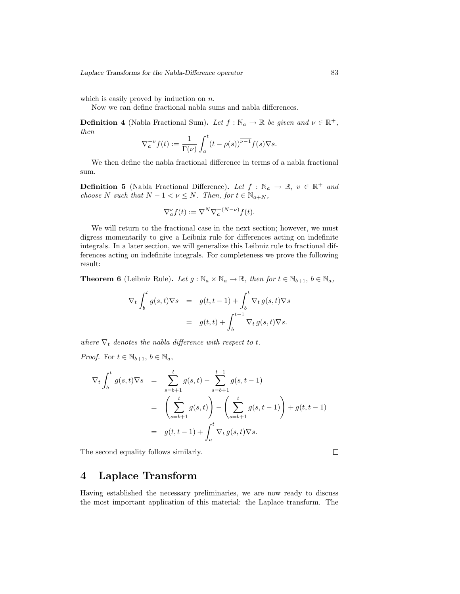which is easily proved by induction on  $n$ .

Now we can define fractional nabla sums and nabla differences.

**Definition 4** (Nabla Fractional Sum). Let  $f : \mathbb{N}_a \to \mathbb{R}$  be given and  $v \in \mathbb{R}^+$ , then

$$
\nabla_a^{-\nu} f(t) := \frac{1}{\Gamma(\nu)} \int_a^t (t - \rho(s))^{\overline{\nu - 1}} f(s) \nabla s.
$$

We then define the nabla fractional difference in terms of a nabla fractional sum.

**Definition 5** (Nabla Fractional Difference). Let  $f : \mathbb{N}_a \to \mathbb{R}, v \in \mathbb{R}^+$  and choose N such that  $N - 1 < \nu \leq N$ . Then, for  $t \in \mathbb{N}_{a+N}$ ,

$$
\nabla_a^{\nu} f(t) := \nabla^N \nabla_a^{-(N-\nu)} f(t).
$$

We will return to the fractional case in the next section; however, we must digress momentarily to give a Leibniz rule for differences acting on indefinite integrals. In a later section, we will generalize this Leibniz rule to fractional differences acting on indefinite integrals. For completeness we prove the following result:

**Theorem 6** (Leibniz Rule). Let  $g : \mathbb{N}_a \times \mathbb{N}_a \to \mathbb{R}$ , then for  $t \in \mathbb{N}_{b+1}$ ,  $b \in \mathbb{N}_a$ ,

$$
\nabla_t \int_b^t g(s, t) \nabla s = g(t, t-1) + \int_b^t \nabla_t g(s, t) \nabla s
$$
  
=  $g(t, t) + \int_b^{t-1} \nabla_t g(s, t) \nabla s.$ 

where  $\nabla_t$  denotes the nabla difference with respect to t.

*Proof.* For  $t \in \mathbb{N}_{b+1}$ ,  $b \in \mathbb{N}_a$ ,

$$
\nabla_t \int_b^t g(s, t) \nabla s = \sum_{s=b+1}^t g(s, t) - \sum_{s=b+1}^{t-1} g(s, t-1)
$$
  
=  $\left(\sum_{s=b+1}^t g(s, t)\right) - \left(\sum_{s=b+1}^t g(s, t-1)\right) + g(t, t-1)$   
=  $g(t, t-1) + \int_a^t \nabla_t g(s, t) \nabla s.$ 

The second equality follows similarly.

 $\Box$ 

#### 4 Laplace Transform

Having established the necessary preliminaries, we are now ready to discuss the most important application of this material: the Laplace transform. The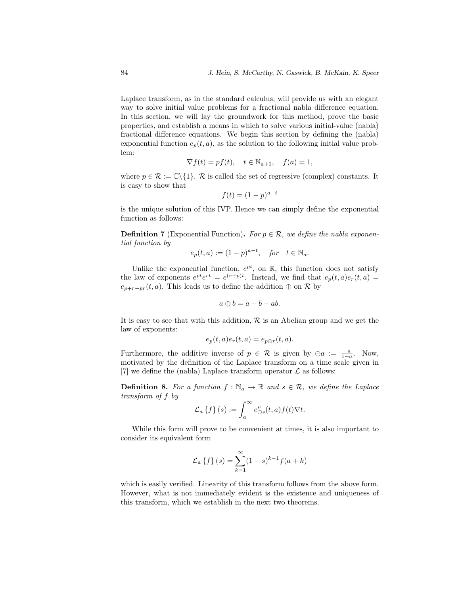Laplace transform, as in the standard calculus, will provide us with an elegant way to solve initial value problems for a fractional nabla difference equation. In this section, we will lay the groundwork for this method, prove the basic properties, and establish a means in which to solve various initial-value (nabla) fractional difference equations. We begin this section by defining the (nabla) exponential function  $e_p(t, a)$ , as the solution to the following initial value problem:

$$
\nabla f(t) = pf(t), \quad t \in \mathbb{N}_{a+1}, \quad f(a) = 1,
$$

where  $p \in \mathcal{R} := \mathbb{C} \setminus \{1\}$ . R is called the set of regressive (complex) constants. It is easy to show that

$$
f(t) = (1 - p)^{a - t}
$$

is the unique solution of this IVP. Hence we can simply define the exponential function as follows:

**Definition 7** (Exponential Function). For  $p \in \mathcal{R}$ , we define the nabla exponential function by

$$
e_p(t, a) := (1 - p)^{a - t}, \quad \text{for} \quad t \in \mathbb{N}_a.
$$

Unlike the exponential function,  $e^{pt}$ , on  $\mathbb{R}$ , this function does not satisfy the law of exponents  $e^{pt}e^{rt} = e^{(r+p)t}$ . Instead, we find that  $e_p(t, a)e_r(t, a) =$  $e_{p+r-pr}(t, a)$ . This leads us to define the addition  $\oplus$  on  $\mathcal R$  by

$$
a \oplus b = a + b - ab.
$$

It is easy to see that with this addition,  $\mathcal R$  is an Abelian group and we get the law of exponents:

$$
e_p(t,a)e_r(t,a) = e_{p \oplus r}(t,a).
$$

Furthermore, the additive inverse of  $p \in \mathcal{R}$  is given by  $\ominus a := \frac{-a}{1-a}$ . Now, motivated by the definition of the Laplace transform on a time scale given in [7] we define the (nabla) Laplace transform operator  $\mathcal L$  as follows:

**Definition 8.** For a function  $f : \mathbb{N}_a \to \mathbb{R}$  and  $s \in \mathcal{R}$ , we define the Laplace transform of f by

$$
\mathcal{L}_a\left\{f\right\}(s) := \int_a^\infty e_{\ominus s}^\rho(t, a) f(t) \nabla t.
$$

While this form will prove to be convenient at times, it is also important to consider its equivalent form

$$
\mathcal{L}_a \{ f \} (s) = \sum_{k=1}^{\infty} (1 - s)^{k-1} f(a + k)
$$

which is easily verified. Linearity of this transform follows from the above form. However, what is not immediately evident is the existence and uniqueness of this transform, which we establish in the next two theorems.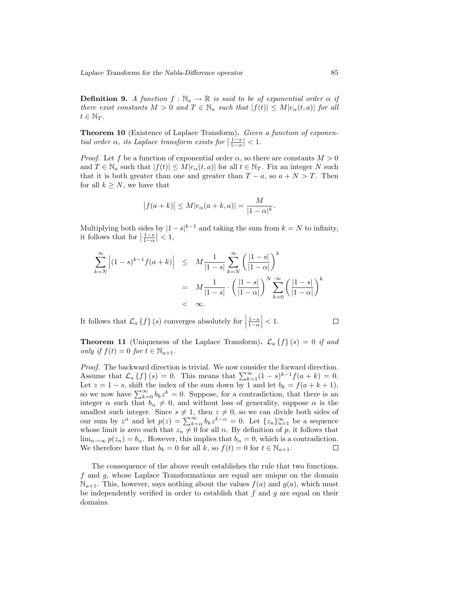**Definition 9.** A function  $f : \mathbb{N}_a \to \mathbb{R}$  is said to be of exponential order  $\alpha$  if there exist constants  $M > 0$  and  $T \in \mathbb{N}_a$  such that  $|f(t)| \leq M|e_\alpha(t, a)|$  for all  $t \in \mathbb{N}_T$ .

Theorem 10 (Existence of Laplace Transform). Given a function of exponential order  $\alpha$ , its Laplace transform exists for  $\left|\frac{1-s}{1-\alpha}\right| < 1$ .

*Proof.* Let f be a function of exponential order  $\alpha$ , so there are constants  $M > 0$ and  $T \in \mathbb{N}_a$  such that  $|f(t)| \leq M|e_\alpha(t, a)|$  for all  $t \in \mathbb{N}_T$ . Fix an integer N such that it is both greater than one and greater than  $T - a$ , so  $a + N > T$ . Then for all  $k \geq N$ , we have that

$$
|f(a+k)| \le M|e_\alpha(a+k,a)| = \frac{M}{|1-\alpha|^k}.
$$

Multiplying both sides by  $|1-s|^{k-1}$  and taking the sum from  $k = N$  to infinity, it follows that for  $\left|\frac{1-s}{1-\alpha}\right| < 1$ ,

$$
\sum_{k=N}^{\infty} \left| (1-s)^{k-1} f(a+k) \right| \leq M \frac{1}{|1-s|} \sum_{k=N}^{\infty} \left( \frac{|1-s|}{|1-\alpha|} \right)^k
$$
  
= 
$$
M \frac{1}{|1-s|} \cdot \left( \frac{|1-s|}{|1-\alpha|} \right)^N \sum_{k=0}^{\infty} \left( \frac{|1-s|}{|1-\alpha|} \right)^k
$$
  
< 
$$
< \infty.
$$

It follows that  $\mathcal{L}_a \{f\} (s)$  converges absolutely for  $\Big|$  $\frac{1-s}{1-\alpha}\Big|<1.$ 

**Theorem 11** (Uniqueness of the Laplace Transform).  $\mathcal{L}_a \{f\}(s) = 0$  if and only if  $f(t) = 0$  for  $t \in \mathbb{N}_{a+1}$ .

Proof. The backward direction is trivial. We now consider the forward direction. Assume that  $\mathcal{L}_a \{f\}(s) = 0$ . This means that  $\sum_{k=1}^{\infty} (1-s)^{k-1} f(a+k) = 0$ . Let  $z = 1 - s$ , shift the index of the sum down by 1 and let  $b_k = f(a + k + 1)$ , so we now have  $\sum_{k=0}^{\infty} b_k z^k = 0$ . Suppose, for a contradiction, that there is an integer  $\alpha$  such that  $b_{\alpha} \neq 0$ , and without loss of generality, suppose  $\alpha$  is the smallest such integer. Since  $s \neq 1$ , then  $z \neq 0$ , so we can divide both sides of our sum by  $z^{\alpha}$  and let  $p(z) = \sum_{k=\alpha}^{\infty} b_k z^{k-\alpha} = 0$ . Let  $\{z_n\}_{n=1}^{\infty}$  be a sequence whose limit is zero such that  $z_n \neq 0$  for all n. By definition of p, it follows that  $\lim_{n\to\infty} p(z_n) = b_\alpha$ . However, this implies that  $b_\alpha = 0$ , which is a contradiction. We therefore have that  $b_k = 0$  for all k, so  $f(t) = 0$  for  $t \in \mathbb{N}_{a+1}$ .  $\Box$ 

The consequence of the above result establishes the rule that two functions, f and g, whose Laplace Transformations are equal are unique on the domain  $\mathbb{N}_{a+1}$ . This, however, says nothing about the values  $f(a)$  and  $g(a)$ , which must be independently verified in order to establish that  $f$  and  $g$  are equal on their domains.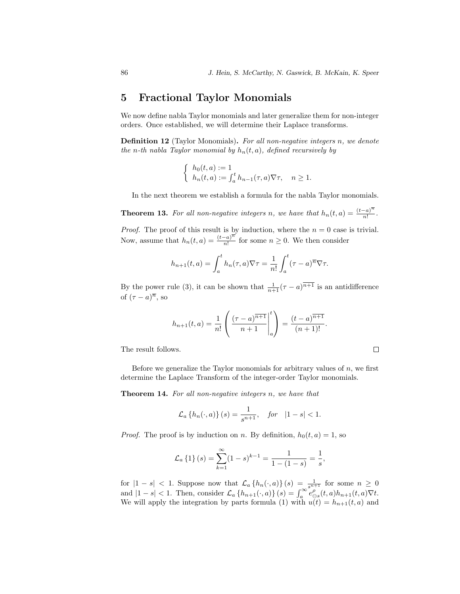#### 5 Fractional Taylor Monomials

We now define nabla Taylor monomials and later generalize them for non-integer orders. Once established, we will determine their Laplace transforms.

**Definition 12** (Taylor Monomials). For all non-negative integers n, we denote the n-th nabla Taylor monomial by  $h_n(t, a)$ , defined recursively by

$$
\begin{cases} h_0(t,a) := 1 \\ h_n(t,a) := \int_a^t h_{n-1}(\tau,a) \nabla \tau, \quad n \ge 1. \end{cases}
$$

In the next theorem we establish a formula for the nabla Taylor monomials.

**Theorem 13.** For all non-negative integers n, we have that  $h_n(t, a) = \frac{(t-a)^n}{n!}$  $\frac{-a)}{n!}$ .

*Proof.* The proof of this result is by induction, where the  $n = 0$  case is trivial. Now, assume that  $h_n(t,a) = \frac{(t-a)^n}{n!}$  $\frac{a}{n!}$  for some  $n \geq 0$ . We then consider

$$
h_{n+1}(t,a) = \int_a^t h_n(\tau,a)\nabla \tau = \frac{1}{n!} \int_a^t (\tau-a)^n \nabla \tau.
$$

By the power rule (3), it can be shown that  $\frac{1}{n+1}(\tau - a)^{\overline{n+1}}$  is an antidifference of  $(\tau - a)^{\overline{n}}$ , so

$$
h_{n+1}(t,a) = \frac{1}{n!} \left( \frac{(\tau - a)^{\overline{n+1}}}{n+1} \bigg|_a^t \right) = \frac{(t-a)^{\overline{n+1}}}{(n+1)!}.
$$

The result follows.

Before we generalize the Taylor monomials for arbitrary values of  $n$ , we first determine the Laplace Transform of the integer-order Taylor monomials.

 $\Box$ 

Theorem 14. For all non-negative integers n, we have that

$$
\mathcal{L}_a\{h_n(\cdot, a)\}(s) = \frac{1}{s^{n+1}}, \quad \text{for} \quad |1 - s| < 1.
$$

*Proof.* The proof is by induction on n. By definition,  $h_0(t, a) = 1$ , so

$$
\mathcal{L}_a\left\{1\right\}(s) = \sum_{k=1}^{\infty} (1-s)^{k-1} = \frac{1}{1 - (1-s)} = \frac{1}{s},
$$

for  $|1-s| < 1$ . Suppose now that  $\mathcal{L}_a\{h_n(\cdot,a)\}(s) = \frac{1}{s^{n+1}}$  for some  $n \geq 0$ and  $|1-s| < 1$ . Then, consider  $\mathcal{L}_a\{h_{n+1}(\cdot,a)\}(s) = \int_a^\infty e_{\ominus s}^\rho(t,a)h_{n+1}(t,a)\nabla t$ . We will apply the integration by parts formula (1) with  $u(t) = h_{n+1}(t, a)$  and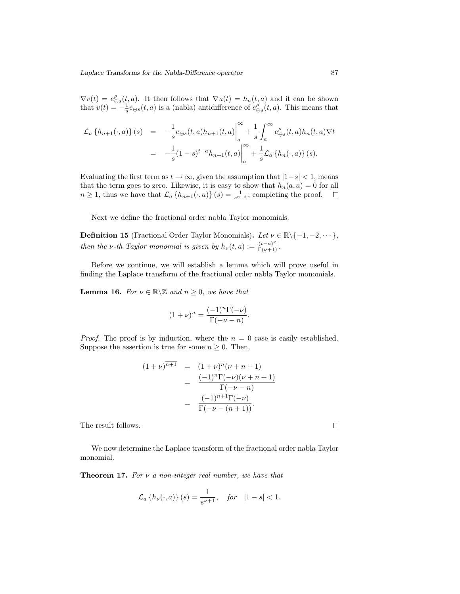$\nabla v(t) = e_{\ominus s}^{\rho}(t, a)$ . It then follows that  $\nabla u(t) = h_n(t, a)$  and it can be shown that  $v(t) = -\frac{1}{s}e_{\Theta s}(t, a)$  is a (nabla) antidifference of  $e_{\Theta s}^{\rho}(t, a)$ . This means that

$$
\mathcal{L}_{a} \{ h_{n+1}(\cdot, a) \} (s) = -\frac{1}{s} e_{\ominus s}(t, a) h_{n+1}(t, a) \Big|_{a}^{\infty} + \frac{1}{s} \int_{a}^{\infty} e_{\ominus s}^{\rho}(t, a) h_{n}(t, a) \nabla t
$$
  

$$
= -\frac{1}{s} (1 - s)^{t - a} h_{n+1}(t, a) \Big|_{a}^{\infty} + \frac{1}{s} \mathcal{L}_{a} \{ h_{n}(\cdot, a) \} (s).
$$

Evaluating the first term as  $t \to \infty$ , given the assumption that  $|1-s| < 1$ , means that the term goes to zero. Likewise, it is easy to show that  $h_n(a, a) = 0$  for all  $n \geq 1$ , thus we have that  $\mathcal{L}_a\{h_{n+1}(\cdot,a)\}(s) = \frac{1}{s^{n+2}}$ , completing the proof.

Next we define the fractional order nabla Taylor monomials.

**Definition 15** (Fractional Order Taylor Monomials). Let  $\nu \in \mathbb{R} \setminus \{-1, -2, \dots\}$ , then the v-th Taylor monomial is given by  $h_{\nu}(t, a) := \frac{(t-a)^{\overline{\nu}}}{\Gamma(\nu+1)}$ .

Before we continue, we will establish a lemma which will prove useful in finding the Laplace transform of the fractional order nabla Taylor monomials.

**Lemma 16.** For  $\nu \in \mathbb{R} \setminus \mathbb{Z}$  and  $n \geq 0$ , we have that

$$
(1+\nu)^{\overline{n}} = \frac{(-1)^n \Gamma(-\nu)}{\Gamma(-\nu-n)}.
$$

*Proof.* The proof is by induction, where the  $n = 0$  case is easily established. Suppose the assertion is true for some  $n \geq 0$ . Then,

$$
(1 + \nu)^{\overline{n+1}} = (1 + \nu)^{\overline{n}} (\nu + n + 1)
$$
  
= 
$$
\frac{(-1)^n \Gamma(-\nu)(\nu + n + 1)}{\Gamma(-\nu - n)}
$$
  
= 
$$
\frac{(-1)^{n+1} \Gamma(-\nu)}{\Gamma(-\nu - (n + 1))}.
$$

The result follows.

We now determine the Laplace transform of the fractional order nabla Taylor monomial.

**Theorem 17.** For  $\nu$  a non-integer real number, we have that

$$
\mathcal{L}_a\left\{h_\nu(\cdot,a)\right\}(s) = \frac{1}{s^{\nu+1}}, \quad \text{for} \quad |1-s| < 1.
$$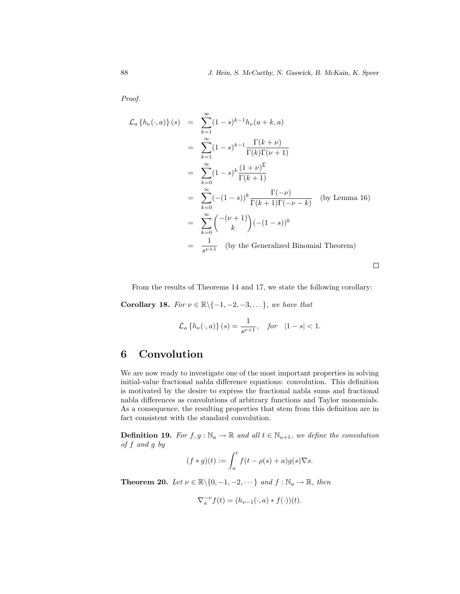Proof.

$$
\mathcal{L}_a \{ h_\nu(\cdot, a) \} (s) = \sum_{k=1}^{\infty} (1-s)^{k-1} h_\nu(a+k, a)
$$
  
\n
$$
= \sum_{k=1}^{\infty} (1-s)^{k-1} \frac{\Gamma(k+\nu)}{\Gamma(k)\Gamma(\nu+1)}
$$
  
\n
$$
= \sum_{k=0}^{\infty} (1-s)^k \frac{(1+\nu)^{\overline{k}}}{\Gamma(k+1)}
$$
  
\n
$$
= \sum_{k=0}^{\infty} (-(1-s))^k \frac{\Gamma(-\nu)}{\Gamma(k+1)\Gamma(-\nu-k)}
$$
 (by Lemma 16)  
\n
$$
= \sum_{k=0}^{\infty} {\binom{-(\nu+1)}{k}} (- (1-s))^k
$$
  
\n
$$
= \frac{1}{s^{\nu+1}}
$$
 (by the Generalized Binomial Theorem)

From the results of Theorems 14 and 17, we state the following corollary:

Corollary 18. For  $\nu \in \mathbb{R} \setminus \{-1, -2, -3, \dots\}$ , we have that

$$
\mathcal{L}_a\left\{h_\nu(\cdot,a)\right\}(s) = \frac{1}{s^{\nu+1}}, \quad \text{for} \quad |1-s| < 1.
$$

## 6 Convolution

We are now ready to investigate one of the most important properties in solving initial-value fractional nabla difference equations: convolution. This definition is motivated by the desire to express the fractional nabla sums and fractional nabla differences as convolutions of arbitrary functions and Taylor monomials. As a consequence, the resulting properties that stem from this definition are in fact consistent with the standard convolution.

**Definition 19.** For  $f, g : \mathbb{N}_a \to \mathbb{R}$  and all  $t \in \mathbb{N}_{a+1}$ , we define the convolution of f and g by

$$
(f * g)(t) := \int_a^t f(t - \rho(s) + a)g(s)\nabla s.
$$

**Theorem 20.** Let  $\nu \in \mathbb{R} \setminus \{0, -1, -2, \dots\}$  and  $f : \mathbb{N}_a \to \mathbb{R}$ , then

$$
\nabla_a^{-\nu} f(t) = (h_{\nu-1}(\cdot, a) * f(\cdot))(t).
$$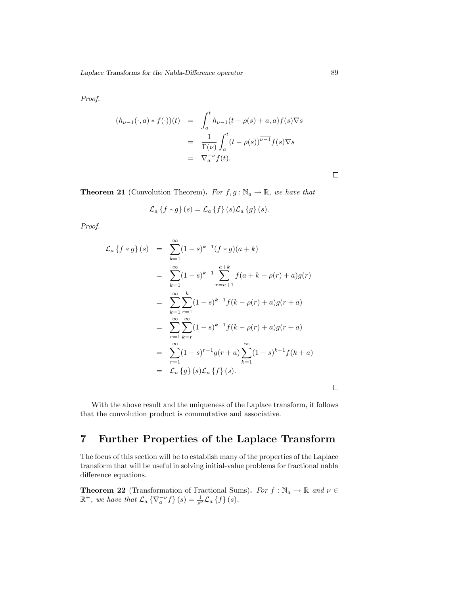Proof.

$$
(h_{\nu-1}(\cdot, a) * f(\cdot))(t) = \int_a^t h_{\nu-1}(t - \rho(s) + a, a) f(s) \nabla s
$$
  

$$
= \frac{1}{\Gamma(\nu)} \int_a^t (t - \rho(s))^{\nu-1} f(s) \nabla s
$$
  

$$
= \nabla_a^{-\nu} f(t).
$$

**Theorem 21** (Convolution Theorem). For  $f, g : \mathbb{N}_a \to \mathbb{R}$ , we have that

$$
\mathcal{L}_a \left\{ f * g \right\}(s) = \mathcal{L}_a \left\{ f \right\}(s) \mathcal{L}_a \left\{ g \right\}(s).
$$

Proof.

$$
\mathcal{L}_{a} \{f * g\} (s) = \sum_{k=1}^{\infty} (1-s)^{k-1} (f * g)(a+k)
$$
  
\n
$$
= \sum_{k=1}^{\infty} (1-s)^{k-1} \sum_{r=a+1}^{a+k} f(a+k-\rho(r)+a)g(r)
$$
  
\n
$$
= \sum_{k=1}^{\infty} \sum_{r=1}^{k} (1-s)^{k-1} f(k-\rho(r)+a)g(r+a)
$$
  
\n
$$
= \sum_{r=1}^{\infty} \sum_{k=r}^{\infty} (1-s)^{k-1} f(k-\rho(r)+a)g(r+a)
$$
  
\n
$$
= \sum_{r=1}^{\infty} (1-s)^{r-1} g(r+a) \sum_{k=1}^{\infty} (1-s)^{k-1} f(k+a)
$$
  
\n
$$
= \mathcal{L}_{a} \{g\} (s) \mathcal{L}_{a} \{f\} (s).
$$

 $\Box$ 

With the above result and the uniqueness of the Laplace transform, it follows that the convolution product is commutative and associative.

# 7 Further Properties of the Laplace Transform

The focus of this section will be to establish many of the properties of the Laplace transform that will be useful in solving initial-value problems for fractional nabla difference equations.

**Theorem 22** (Transformation of Fractional Sums). For  $f : \mathbb{N}_a \to \mathbb{R}$  and  $\nu \in \mathbb{N}$  $\mathbb{R}^+$ , we have that  $\mathcal{L}_a \left\{ \nabla_a^{-\nu} f \right\}(s) = \frac{1}{s^{\nu}} \mathcal{L}_a \left\{ f \right\}(s)$ .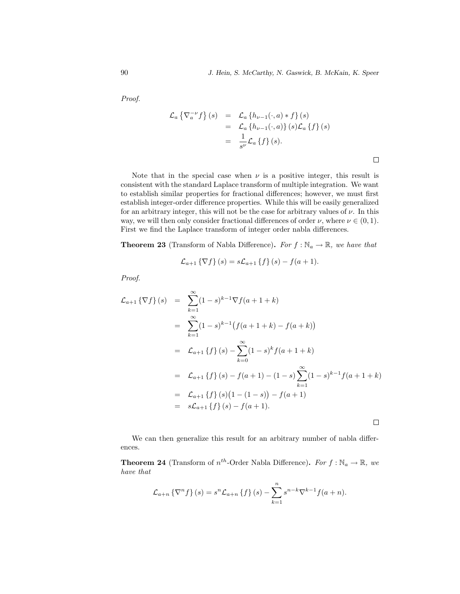$\Box$ 

Proof.

$$
\mathcal{L}_a \left\{ \nabla_a^{-\nu} f \right\}(s) = \mathcal{L}_a \left\{ h_{\nu-1}(\cdot, a) * f \right\}(s)
$$
  
=  $\mathcal{L}_a \left\{ h_{\nu-1}(\cdot, a) \right\}(s) \mathcal{L}_a \left\{ f \right\}(s)$   
=  $\frac{1}{s^{\nu}} \mathcal{L}_a \left\{ f \right\}(s).$ 

Note that in the special case when  $\nu$  is a positive integer, this result is consistent with the standard Laplace transform of multiple integration. We want to establish similar properties for fractional differences; however, we must first establish integer-order difference properties. While this will be easily generalized for an arbitrary integer, this will not be the case for arbitrary values of  $\nu$ . In this way, we will then only consider fractional differences of order  $\nu$ , where  $\nu \in (0,1)$ . First we find the Laplace transform of integer order nabla differences.

**Theorem 23** (Transform of Nabla Difference). For  $f : \mathbb{N}_a \to \mathbb{R}$ , we have that

$$
\mathcal{L}_{a+1} \{ \nabla f \} (s) = s \mathcal{L}_{a+1} \{ f \} (s) - f(a+1).
$$

Proof.

$$
\mathcal{L}_{a+1} \{ \nabla f \} (s) = \sum_{k=1}^{\infty} (1-s)^{k-1} \nabla f(a+1+k)
$$
  
\n
$$
= \sum_{k=1}^{\infty} (1-s)^{k-1} \left( f(a+1+k) - f(a+k) \right)
$$
  
\n
$$
= \mathcal{L}_{a+1} \{ f \} (s) - \sum_{k=0}^{\infty} (1-s)^k f(a+1+k)
$$
  
\n
$$
= \mathcal{L}_{a+1} \{ f \} (s) - f(a+1) - (1-s) \sum_{k=1}^{\infty} (1-s)^{k-1} f(a+1+k)
$$
  
\n
$$
= \mathcal{L}_{a+1} \{ f \} (s) (1 - (1-s)) - f(a+1)
$$
  
\n
$$
= s\mathcal{L}_{a+1} \{ f \} (s) - f(a+1).
$$

We can then generalize this result for an arbitrary number of nabla differences.

**Theorem 24** (Transform of  $n^{th}$ -Order Nabla Difference). For  $f : \mathbb{N}_a \to \mathbb{R}$ , we have that

$$
\mathcal{L}_{a+n} \left\{ \nabla^n f \right\}(s) = s^n \mathcal{L}_{a+n} \left\{ f \right\}(s) - \sum_{k=1}^n s^{n-k} \nabla^{k-1} f(a+n).
$$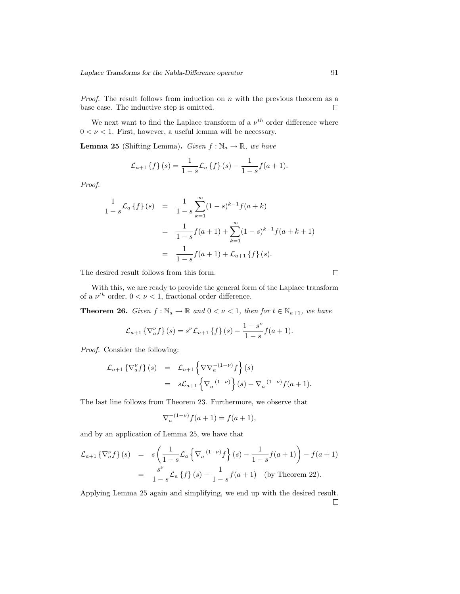*Proof.* The result follows from induction on  $n$  with the previous theorem as a base case. The inductive step is omitted.  $\Box$ 

We next want to find the Laplace transform of a  $\nu^{th}$  order difference where  $0 < \nu < 1$ . First, however, a useful lemma will be necessary.

**Lemma 25** (Shifting Lemma). Given  $f : \mathbb{N}_a \to \mathbb{R}$ , we have

$$
\mathcal{L}_{a+1} \left\{ f \right\} (s) = \frac{1}{1-s} \mathcal{L}_a \left\{ f \right\} (s) - \frac{1}{1-s} f(a+1).
$$

Proof.

$$
\frac{1}{1-s}\mathcal{L}_a\{f\}(s) = \frac{1}{1-s}\sum_{k=1}^{\infty} (1-s)^{k-1}f(a+k)
$$

$$
= \frac{1}{1-s}f(a+1) + \sum_{k=1}^{\infty} (1-s)^{k-1}f(a+k+1)
$$

$$
= \frac{1}{1-s}f(a+1) + \mathcal{L}_{a+1}\{f\}(s).
$$

The desired result follows from this form.

With this, we are ready to provide the general form of the Laplace transform of a  $\nu^{th}$  order,  $0 < \nu < 1$ , fractional order difference.

**Theorem 26.** Given  $f : \mathbb{N}_a \to \mathbb{R}$  and  $0 < \nu < 1$ , then for  $t \in \mathbb{N}_{a+1}$ , we have

$$
\mathcal{L}_{a+1} \left\{ \nabla_a^{\nu} f \right\} (s) = s^{\nu} \mathcal{L}_{a+1} \left\{ f \right\} (s) - \frac{1 - s^{\nu}}{1 - s} f(a+1).
$$

Proof. Consider the following:

$$
\mathcal{L}_{a+1} \left\{ \nabla_a^{\nu} f \right\} (s) = \mathcal{L}_{a+1} \left\{ \nabla \nabla_a^{-(1-\nu)} f \right\} (s)
$$
  

$$
= s \mathcal{L}_{a+1} \left\{ \nabla_a^{-(1-\nu)} \right\} (s) - \nabla_a^{-(1-\nu)} f(a+1).
$$

The last line follows from Theorem 23. Furthermore, we observe that

$$
\nabla_a^{-(1-\nu)} f(a+1) = f(a+1),
$$

and by an application of Lemma 25, we have that

$$
\mathcal{L}_{a+1} \left\{ \nabla_a^{\nu} f \right\}(s) = s \left( \frac{1}{1-s} \mathcal{L}_a \left\{ \nabla_a^{-(1-\nu)} f \right\}(s) - \frac{1}{1-s} f(a+1) \right) - f(a+1)
$$
  
= 
$$
\frac{s^{\nu}}{1-s} \mathcal{L}_a \left\{ f \right\}(s) - \frac{1}{1-s} f(a+1) \quad \text{(by Theorem 22)}.
$$

Applying Lemma 25 again and simplifying, we end up with the desired result. $\Box$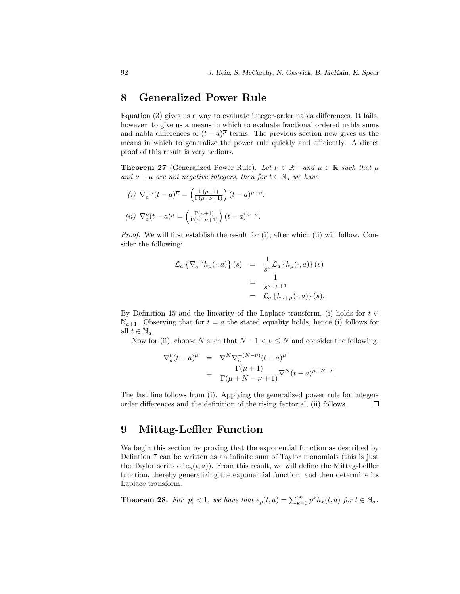### 8 Generalized Power Rule

Equation (3) gives us a way to evaluate integer-order nabla differences. It fails, however, to give us a means in which to evaluate fractional ordered nabla sums and nabla differences of  $(t-a)^{\overline{\mu}}$  terms. The previous section now gives us the means in which to generalize the power rule quickly and efficiently. A direct proof of this result is very tedious.

**Theorem 27** (Generalized Power Rule). Let  $\nu \in \mathbb{R}^+$  and  $\mu \in \mathbb{R}$  such that  $\mu$ and  $\nu + \mu$  are not negative integers, then for  $t \in \mathbb{N}_a$  we have

(i) 
$$
\nabla_a^{-\nu} (t-a)^{\overline{\mu}} = \left(\frac{\Gamma(\mu+1)}{\Gamma(\mu+\nu+1)}\right) (t-a)^{\overline{\mu+\nu}},
$$
  
\n(ii)  $\nabla_a^{\nu} (t-a)^{\overline{\mu}} = \left(\frac{\Gamma(\mu+1)}{\Gamma(\mu-\nu+1)}\right) (t-a)^{\overline{\mu-\nu}}.$ 

Proof. We will first establish the result for (i), after which (ii) will follow. Consider the following:

$$
\mathcal{L}_a \left\{ \nabla_a^{-\nu} h_\mu(\cdot, a) \right\} (s) = \frac{1}{s^{\nu}} \mathcal{L}_a \left\{ h_\mu(\cdot, a) \right\} (s)
$$

$$
= \frac{1}{s^{\nu + \mu + 1}}
$$

$$
= \mathcal{L}_a \left\{ h_{\nu + \mu}(\cdot, a) \right\} (s).
$$

By Definition 15 and the linearity of the Laplace transform, (i) holds for  $t \in$  $\mathbb{N}_{a+1}$ . Observing that for  $t = a$  the stated equality holds, hence (i) follows for all  $t \in \mathbb{N}_a$ .

Now for (ii), choose N such that  $N - 1 < \nu \leq N$  and consider the following:

$$
\nabla_a^{\nu}(t-a)^{\overline{\mu}} = \nabla^N \nabla_a^{-(N-\nu)}(t-a)^{\overline{\mu}}
$$
  
= 
$$
\frac{\Gamma(\mu+1)}{\Gamma(\mu+N-\nu+1)} \nabla^N(t-a)^{\overline{\mu+N-\nu}}.
$$

The last line follows from (i). Applying the generalized power rule for integerorder differences and the definition of the rising factorial, (ii) follows.  $\Box$ 

### 9 Mittag-Leffler Function

We begin this section by proving that the exponential function as described by Defintion 7 can be written as an infinite sum of Taylor monomials (this is just the Taylor series of  $e_p(t, a)$ ). From this result, we will define the Mittag-Leffler function, thereby generalizing the exponential function, and then determine its Laplace transform.

**Theorem 28.** For  $|p| < 1$ , we have that  $e_p(t, a) = \sum_{k=0}^{\infty} p^k h_k(t, a)$  for  $t \in \mathbb{N}_a$ .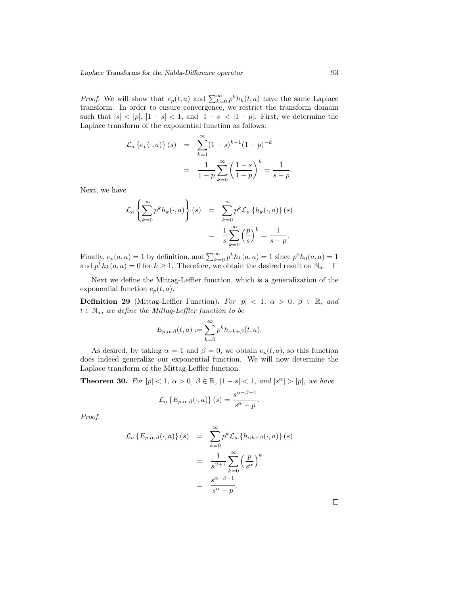*Proof.* We will show that  $e_p(t, a)$  and  $\sum_{k=0}^{\infty} p^k h_k(t, a)$  have the same Laplace transform. In order to ensure convergence, we restrict the transform domain such that  $|s| < |p|, |1 - s| < 1$ , and  $|1 - s| < |1 - p|$ . First, we determine the Laplace transform of the exponential function as follows:

$$
\mathcal{L}_a \{e_p(\cdot, a)\} (s) = \sum_{k=1}^{\infty} (1-s)^{k-1} (1-p)^{-k}
$$

$$
= \frac{1}{1-p} \sum_{k=0}^{\infty} \left(\frac{1-s}{1-p}\right)^k = \frac{1}{s-p}.
$$

Next, we have

$$
\mathcal{L}_a \left\{ \sum_{k=0}^{\infty} p^k h_k(\cdot, a) \right\} (s) = \sum_{k=0}^{\infty} p^k \mathcal{L}_a \left\{ h_k(\cdot, a) \right\} (s)
$$

$$
= \frac{1}{s} \sum_{k=0}^{\infty} \left( \frac{p}{s} \right)^k = \frac{1}{s - p}.
$$

Finally,  $e_p(a, a) = 1$  by definition, and  $\sum_{k=0}^{\infty} p^k h_k(a, a) = 1$  since  $p^0 h_0(a, a) = 1$ and  $p^k h_k(a, a) = 0$  for  $k \ge 1$ . Therefore, we obtain the desired result on  $\mathbb{N}_a$ .

Next we define the Mittag-Leffler function, which is a generalization of the exponential function  $e_p(t, a)$ .

**Definition 29** (Mittag-Leffler Function). For  $|p| < 1$ ,  $\alpha > 0$ ,  $\beta \in \mathbb{R}$ , and  $t \in \mathbb{N}_a$ , we define the Mittag-Leffler function to be

$$
E_{p,\alpha,\beta}(t,a) := \sum_{k=0}^{\infty} p^k h_{\alpha k+\beta}(t,a).
$$

As desired, by taking  $\alpha = 1$  and  $\beta = 0$ , we obtain  $e_p(t, a)$ , so this function does indeed generalize our exponential function. We will now determine the Laplace transform of the Mittag-Leffler function.

**Theorem 30.** For  $|p| < 1$ ,  $\alpha > 0$ ,  $\beta \in \mathbb{R}$ ,  $|1 - s| < 1$ , and  $|s^{\alpha}| > |p|$ , we have

$$
\mathcal{L}_a\left\{E_{p,\alpha,\beta}(\cdot,a)\right\}(s) = \frac{s^{\alpha-\beta-1}}{s^{\alpha}-p}.
$$

Proof.

$$
\mathcal{L}_{a} \{ E_{p,\alpha,\beta}(\cdot,a) \} (s) = \sum_{k=0}^{\infty} p^{k} \mathcal{L}_{a} \{ h_{\alpha k+\beta}(\cdot,a) \} (s)
$$

$$
= \frac{1}{s^{\beta+1}} \sum_{k=0}^{\infty} \left( \frac{p}{s^{\alpha}} \right)^{k}
$$

$$
= \frac{s^{\alpha-\beta-1}}{s^{\alpha}-p}.
$$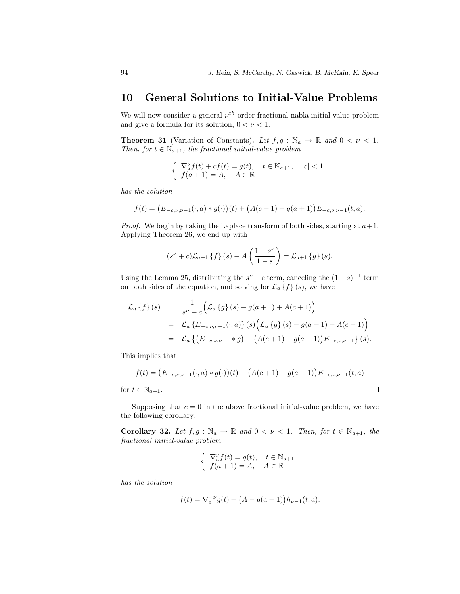#### 10 General Solutions to Initial-Value Problems

We will now consider a general  $\nu^{th}$  order fractional nabla initial-value problem and give a formula for its solution,  $0 < \nu < 1$ .

**Theorem 31** (Variation of Constants). Let  $f, g : \mathbb{N}_a \to \mathbb{R}$  and  $0 < \nu < 1$ . Then, for  $t \in \mathbb{N}_{a+1}$ , the fractional initial-value problem

$$
\begin{cases} \nabla_a^{\nu} f(t) + cf(t) = g(t), & t \in \mathbb{N}_{a+1}, \quad |c| < 1 \\ f(a+1) = A, & A \in \mathbb{R} \end{cases}
$$

has the solution

$$
f(t) = (E_{-c,\nu,\nu-1}(\cdot,a)*g(\cdot))(t) + (A(c+1) - g(a+1))E_{-c,\nu,\nu-1}(t,a).
$$

*Proof.* We begin by taking the Laplace transform of both sides, starting at  $a+1$ . Applying Theorem 26, we end up with

$$
(s^{\nu}+c)\mathcal{L}_{a+1}\left\{f\right\}(s)-A\left(\frac{1-s^{\nu}}{1-s}\right)=\mathcal{L}_{a+1}\left\{g\right\}(s).
$$

Using the Lemma 25, distributing the  $s^{\nu} + c$  term, canceling the  $(1 - s)^{-1}$  term on both sides of the equation, and solving for  $\mathcal{L}_a \{f\}(s)$ , we have

$$
\mathcal{L}_{a} \{f\} (s) = \frac{1}{s^{\nu} + c} \Big( \mathcal{L}_{a} \{g\} (s) - g(a+1) + A(c+1) \Big)
$$
  
= 
$$
\mathcal{L}_{a} \{E_{-c,\nu,\nu-1}(\cdot,a)\} (s) \Big( \mathcal{L}_{a} \{g\} (s) - g(a+1) + A(c+1) \Big)
$$
  
= 
$$
\mathcal{L}_{a} \{ (E_{-c,\nu,\nu-1} * g) + (A(c+1) - g(a+1)) E_{-c,\nu,\nu-1} \} (s).
$$

This implies that

$$
f(t) = (E_{-c,\nu,\nu-1}(\cdot,a) * g(\cdot))(t) + (A(c+1) - g(a+1))E_{-c,\nu,\nu-1}(t,a)
$$
  

$$
t \in \mathbb{N}_{a+1}.
$$

for  $t \in \mathbb{N}_{a+1}$ .

Supposing that  $c = 0$  in the above fractional initial-value problem, we have the following corollary.

Corollary 32. Let  $f, g : \mathbb{N}_a \to \mathbb{R}$  and  $0 < \nu < 1$ . Then, for  $t \in \mathbb{N}_{a+1}$ , the fractional initial-value problem

$$
\begin{cases} \nabla_a^{\nu} f(t) = g(t), & t \in \mathbb{N}_{a+1} \\ f(a+1) = A, & A \in \mathbb{R} \end{cases}
$$

has the solution

$$
f(t) = \nabla_a^{-\nu} g(t) + (A - g(a+1))h_{\nu-1}(t, a).
$$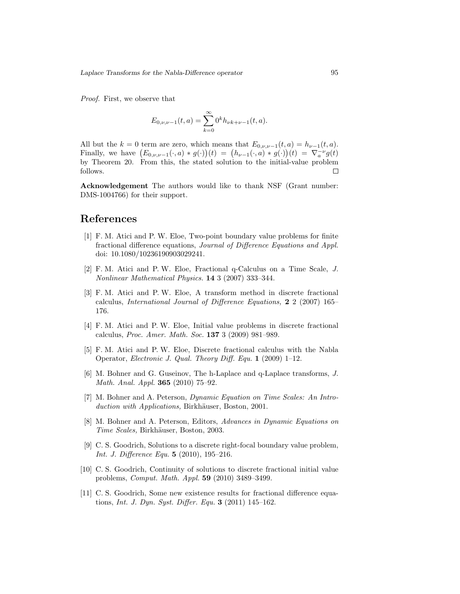Proof. First, we observe that

$$
E_{0,\nu,\nu-1}(t,a) = \sum_{k=0}^{\infty} 0^k h_{\nu k+\nu-1}(t,a).
$$

All but the  $k = 0$  term are zero, which means that  $E_{0,\nu,\nu-1}(t, a) = h_{\nu-1}(t, a)$ . Finally, we have  $(E_{0,\nu,\nu-1}(\cdot,a)*g(\cdot))(t) = (h_{\nu-1}(\cdot,a)*g(\cdot))(t) = \nabla_a^{-\nu}g(t)$ by Theorem 20. From this, the stated solution to the initial-value problem follows.  $\Box$ 

Acknowledgement The authors would like to thank NSF (Grant number: DMS-1004766) for their support.

#### References

- [1] F. M. Atici and P. W. Eloe, Two-point boundary value problems for finite fractional difference equations, Journal of Difference Equations and Appl. doi: 10.1080/10236190903029241.
- [2] F. M. Atici and P. W. Eloe, Fractional q-Calculus on a Time Scale, J. Nonlinear Mathematical Physics. 14 3 (2007) 333–344.
- [3] F. M. Atici and P. W. Eloe, A transform method in discrete fractional calculus, International Journal of Difference Equations, 2 2 (2007) 165– 176.
- [4] F. M. Atici and P. W. Eloe, Initial value problems in discrete fractional calculus, Proc. Amer. Math. Soc. 137 3 (2009) 981–989.
- [5] F. M. Atici and P. W. Eloe, Discrete fractional calculus with the Nabla Operator, Electronic J. Qual. Theory Diff. Equ. 1 (2009) 1–12.
- [6] M. Bohner and G. Guseinov, The h-Laplace and q-Laplace transforms, J. Math. Anal. Appl. 365 (2010) 75–92.
- [7] M. Bohner and A. Peterson, Dynamic Equation on Time Scales: An Introduction with Applications, Birkhäuser, Boston, 2001.
- [8] M. Bohner and A. Peterson, Editors, Advances in Dynamic Equations on Time Scales, Birkhäuser, Boston, 2003.
- [9] C. S. Goodrich, Solutions to a discrete right-focal boundary value problem, Int. J. Difference Equ. **5** (2010), 195-216.
- [10] C. S. Goodrich, Continuity of solutions to discrete fractional initial value problems, Comput. Math. Appl. 59 (2010) 3489–3499.
- [11] C. S. Goodrich, Some new existence results for fractional difference equations, *Int. J. Dyn. Syst. Differ. Equ.* **3** (2011) 145–162.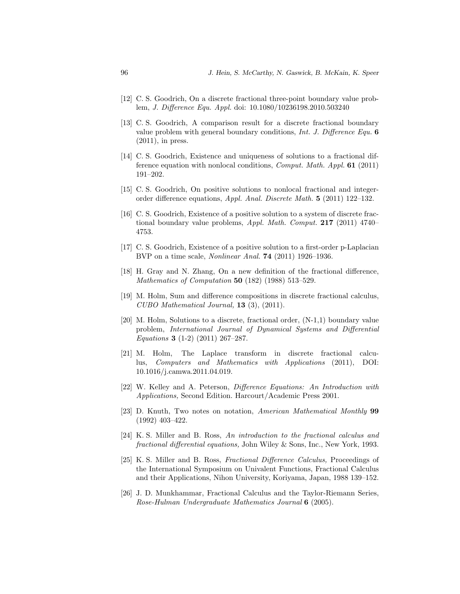- [12] C. S. Goodrich, On a discrete fractional three-point boundary value problem, J. Difference Equ. Appl. doi: 10.1080/10236198.2010.503240
- [13] C. S. Goodrich, A comparison result for a discrete fractional boundary value problem with general boundary conditions, Int. J. Difference Equ. 6 (2011), in press.
- [14] C. S. Goodrich, Existence and uniqueness of solutions to a fractional difference equation with nonlocal conditions, Comput. Math. Appl. 61 (2011) 191–202.
- [15] C. S. Goodrich, On positive solutions to nonlocal fractional and integerorder difference equations, Appl. Anal. Discrete Math. 5 (2011) 122–132.
- [16] C. S. Goodrich, Existence of a positive solution to a system of discrete fractional boundary value problems, *Appl. Math. Comput.* **217** (2011) 4740– 4753.
- [17] C. S. Goodrich, Existence of a positive solution to a first-order p-Laplacian BVP on a time scale, Nonlinear Anal. 74 (2011) 1926–1936.
- [18] H. Gray and N. Zhang, On a new definition of the fractional difference, *Mathematics of Computation* **50** (182) (1988) 513-529.
- [19] M. Holm, Sum and difference compositions in discrete fractional calculus, CUBO Mathematical Journal, 13 (3), (2011).
- [20] M. Holm, Solutions to a discrete, fractional order, (N-1,1) boundary value problem, International Journal of Dynamical Systems and Differential Equations 3 (1-2) (2011) 267–287.
- [21] M. Holm, The Laplace transform in discrete fractional calculus, Computers and Mathematics with Applications (2011), DOI: 10.1016/j.camwa.2011.04.019.
- [22] W. Kelley and A. Peterson, Difference Equations: An Introduction with Applications, Second Edition. Harcourt/Academic Press 2001.
- [23] D. Knuth, Two notes on notation, American Mathematical Monthly 99 (1992) 403–422.
- [24] K. S. Miller and B. Ross, An introduction to the fractional calculus and fractional differential equations, John Wiley & Sons, Inc., New York, 1993.
- [25] K. S. Miller and B. Ross, Fractional Difference Calculus, Proceedings of the International Symposium on Univalent Functions, Fractional Calculus and their Applications, Nihon University, Koriyama, Japan, 1988 139–152.
- [26] J. D. Munkhammar, Fractional Calculus and the Taylor-Riemann Series, Rose-Hulman Undergraduate Mathematics Journal 6 (2005).